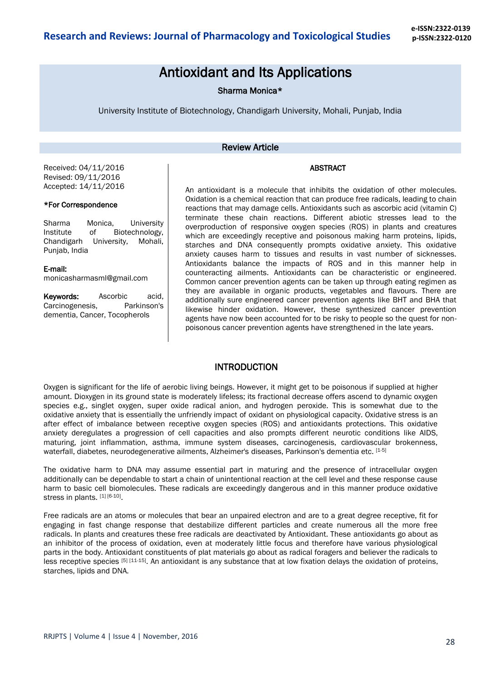# Antioxidant and Its Applications

Sharma Monica\*

University Institute of Biotechnology, Chandigarh University, Mohali, Punjab, India

### Review Article

#### ABSTRACT

Received: 04/11/2016 Revised: 09/11/2016 Accepted: 14/11/2016

### \*For Correspondence

Sharma Monica, University Institute of Biotechnology, Chandigarh University, Mohali, Punjab, India

#### E-mail:

monicasharmasml@gmail.com

Keywords: Ascorbic acid, Carcinogenesis, Parkinson's dementia, Cancer, Tocopherols

An antioxidant is a [molecule](https://en.wikipedia.org/wiki/Molecule) that inhibits the [oxidation](https://en.wikipedia.org/wiki/Redox) of other molecules. Oxidation is a [chemical reaction](https://en.wikipedia.org/wiki/Chemical_reaction) that can produce [free radicals,](https://en.wikipedia.org/wiki/Radical_%28chemistry%29) leading t[o chain](https://en.wikipedia.org/wiki/Chain_reaction)  [reactions](https://en.wikipedia.org/wiki/Chain_reaction) that may damage [cells.](https://en.wikipedia.org/wiki/Cell_%28biology%29) Antioxidants such as [ascorbic acid](https://en.wikipedia.org/wiki/Ascorbic_acid) (vitamin C) terminate these chain reactions. Different abiotic stresses lead to the overproduction of responsive oxygen species (ROS) in plants and creatures which are exceedingly receptive and poisonous making harm proteins, lipids, starches and DNA consequently prompts oxidative anxiety. This oxidative anxiety causes harm to tissues and results in vast number of sicknesses. Antioxidants balance the impacts of ROS and in this manner help in counteracting ailments. Antioxidants can be characteristic or engineered. Common cancer prevention agents can be taken up through eating regimen as they are available in organic products, vegetables and flavours. There are additionally sure engineered cancer prevention agents like BHT and BHA that likewise hinder oxidation. However, these synthesized cancer prevention agents have now been accounted for to be risky to people so the quest for nonpoisonous cancer prevention agents have strengthened in the late years.

### **INTRODUCTION**

Oxygen is significant for the life of aerobic living beings. However, it might get to be poisonous if supplied at higher amount. Dioxygen in its ground state is moderately lifeless; its fractional decrease offers ascend to dynamic oxygen species e.g., singlet oxygen, super oxide radical anion, and hydrogen peroxide. This is somewhat due to the oxidative anxiety that is essentially the unfriendly impact of oxidant on physiological capacity. Oxidative stress is an after effect of imbalance between receptive oxygen species (ROS) and antioxidants protections. This oxidative anxiety deregulates a progression of cell capacities and also prompts different neurotic conditions like AIDS, maturing, joint inflammation, asthma, immune system diseases, carcinogenesis, cardiovascular brokenness, waterfall, diabetes, neurodegenerative ailments, Alzheimer's diseases, Parkinson's dementia etc. [1-5]

The oxidative harm to DNA may assume essential part in maturing and the presence of intracellular oxygen additionally can be dependable to start a chain of unintentional reaction at the cell level and these response cause harm to basic cell biomolecules. These radicals are exceedingly dangerous and in this manner produce oxidative stress in plants. [1] [6-10].

Free radicals are an atoms or molecules that bear an unpaired electron and are to a great degree receptive, fit for engaging in fast change response that destabilize different particles and create numerous all the more free radicals. In plants and creatures these free radicals are deactivated by Antioxidant. These antioxidants go about as an inhibitor of the process of oxidation, even at moderately little focus and therefore have various physiological parts in the body. Antioxidant constituents of plat materials go about as radical foragers and believer the radicals to less receptive species [5] [11-15]. An antioxidant is any substance that at low fixation delays the oxidation of proteins, starches, lipids and DNA.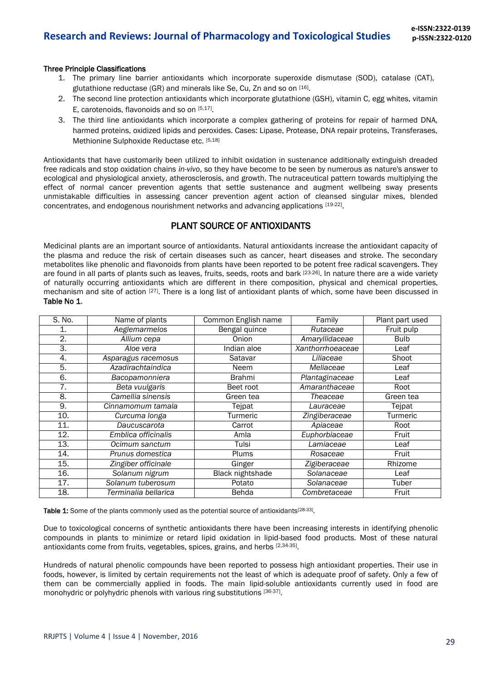#### Three Principle Classifications

- 1. The primary line barrier antioxidants which incorporate superoxide dismutase (SOD), catalase (CAT), glutathione reductase (GR) and minerals like Se, Cu, Zn and so on [16].
- 2. The second line protection antioxidants which incorporate glutathione (GSH), vitamin C, egg whites, vitamin E, carotenoids, flavonoids and so on [5,17].
- 3. The third line antioxidants which incorporate a complex gathering of proteins for repair of harmed DNA, harmed proteins, oxidized lipids and peroxides. Cases: Lipase, Protease, DNA repair proteins, Transferases, Methionine Sulphoxide Reductase etc. [5,18]

Antioxidants that have customarily been utilized to inhibit oxidation in sustenance additionally extinguish dreaded free radicals and stop oxidation chains *in-vivo*, so they have become to be seen by numerous as nature's answer to ecological and physiological anxiety, atherosclerosis, and growth. The nutraceutical pattern towards multiplying the effect of normal cancer prevention agents that settle sustenance and augment wellbeing sway presents unmistakable difficulties in assessing cancer prevention agent action of cleansed singular mixes, blended concentrates, and endogenous nourishment networks and advancing applications [19-22].

## PLANT SOURCE OF ANTIOXIDANTS

Medicinal plants are an important source of antioxidants. Natural antioxidants increase the antioxidant capacity of the plasma and reduce the risk of certain diseases such as cancer, heart diseases and stroke. The secondary metabolites like phenolic and flavonoids from plants have been reported to be potent free radical scavengers. They are found in all parts of plants such as leaves, fruits, seeds, roots and bark [23-26]. In nature there are a wide variety of naturally occurring antioxidants which are different in there composition, physical and chemical properties, mechanism and site of action [27]. There is a long list of antioxidant plants of which, some have been discussed in Table No 1.

| S. No. | Name of plants       | Common English name | Family           | Plant part used |
|--------|----------------------|---------------------|------------------|-----------------|
| 1.     | Aeglemarmelos        | Bengal quince       | Rutaceae         | Fruit pulp      |
| 2.     | Allium cepa          | Onion               | Amaryllidaceae   | <b>Bulb</b>     |
| 3.     | Aloe vera            | Indian aloe         | Xanthorrhoeaceae | Leaf            |
| 4.     | Asparagus racemosus  | Satavar             | Liliaceae        | Shoot           |
| 5.     | Azadirachtaindica    | Neem                | Meliaceae        | Leaf            |
| 6.     | Bacopamonniera       | <b>Brahmi</b>       | Plantaginaceae   | Leaf            |
| 7.     | Beta vuulgaris       | Beet root           | Amaranthaceae    | Root            |
| 8.     | Camellia sinensis    | Green tea           | Theaceae         | Green tea       |
| 9.     | Cinnamomum tamala    | Tejpat              | Lauraceae        | Tejpat          |
| 10.    | Curcuma longa        | Turmeric            | Zingiberaceae    | Turmeric        |
| 11.    | Daucuscarota         | Carrot              | Apiaceae         | Root            |
| 12.    | Emblica officinalis  | Amla                | Euphorbiaceae    | Fruit           |
| 13.    | Ocimum sanctum       | Tulsi               | Lamiaceae        | Leaf            |
| 14.    | Prunus domestica     | <b>Plums</b>        | Rosaceae         | Fruit           |
| 15.    | Zingiber officinale  | Ginger              | Zigiberaceae     | Rhizome         |
| 16.    | Solanum nigrum       | Black nightshade    | Solanaceae       | Leaf            |
| 17.    | Solanum tuberosum    | Potato              | Solanaceae       | Tuber           |
| 18.    | Terminalia bellarica | Behda               | Combretaceae     | Fruit           |

Table 1: Some of the plants commonly used as the potential source of antioxidants<sup>[28-33]</sup>.

Due to toxicological concerns of synthetic antioxidants there have been increasing interests in identifying phenolic compounds in plants to minimize or retard lipid oxidation in lipid-based food products. Most of these natural antioxidants come from fruits, vegetables, spices, grains, and herbs [2,34-35].

Hundreds of natural phenolic compounds have been reported to possess high antioxidant properties. Their use in foods, however, is limited by certain requirements not the least of which is adequate proof of safety. Only a few of them can be commercially applied in foods. The main lipid-soluble antioxidants currently used in food are monohydric or polyhydric phenols with various ring substitutions [36-37].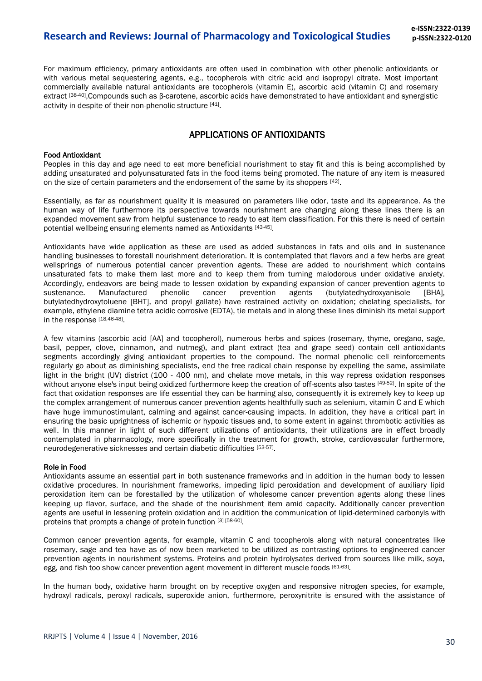# **Research and Reviews: Journal of Pharmacology and Toxicological Studies**

For maximum efficiency, primary antioxidants are often used in combination with other phenolic antioxidants or with various metal sequestering agents, e.g., tocopherols with citric acid and isopropyl citrate. Most important commercially available natural antioxidants are tocopherols (vitamin E), ascorbic acid (vitamin C) and rosemary extract [38-40],Compounds such as β-carotene, ascorbic acids have demonstrated to have antioxidant and synergistic activity in despite of their non-phenolic structure [41].

### APPLICATIONS OF ANTIOXIDANTS

### Food Antioxidant

Peoples in this day and age need to eat more beneficial nourishment to stay fit and this is being accomplished by adding unsaturated and polyunsaturated fats in the food items being promoted. The nature of any item is measured on the size of certain parameters and the endorsement of the same by its shoppers [42].

Essentially, as far as nourishment quality it is measured on parameters like odor, taste and its appearance. As the human way of life furthermore its perspective towards nourishment are changing along these lines there is an expanded movement saw from helpful sustenance to ready to eat item classification. For this there is need of certain potential wellbeing ensuring elements named as Antioxidants [43-45] .

Antioxidants have wide application as these are used as added substances in fats and oils and in sustenance handling businesses to forestall nourishment deterioration. It is contemplated that flavors and a few herbs are great wellsprings of numerous potential cancer prevention agents. These are added to nourishment which contains unsaturated fats to make them last more and to keep them from turning malodorous under oxidative anxiety. Accordingly, endeavors are being made to lessen oxidation by expanding expansion of cancer prevention agents to sustenance. Manufactured phenolic cancer prevention agents (butylatedhydroxyanisole [BHA], butylatedhydroxytoluene [BHT], and propyl gallate) have restrained activity on oxidation; chelating specialists, for example, ethylene diamine tetra acidic corrosive (EDTA), tie metals and in along these lines diminish its metal support in the response [18,46-48].

A few vitamins (ascorbic acid [AA] and tocopherol), numerous herbs and spices (rosemary, thyme, oregano, sage, basil, pepper, clove, cinnamon, and nutmeg), and plant extract (tea and grape seed) contain cell antioxidants segments accordingly giving antioxidant properties to the compound. The normal phenolic cell reinforcements regularly go about as diminishing specialists, end the free radical chain response by expelling the same, assimilate light in the bright (UV) district (100 - 400 nm), and chelate move metals, in this way repress oxidation responses without anyone else's input being oxidized furthermore keep the creation of off-scents also tastes [49-52]. In spite of the fact that oxidation responses are life essential they can be harming also, consequently it is extremely key to keep up the complex arrangement of numerous cancer prevention agents healthfully such as selenium, vitamin C and E which have huge immunostimulant, calming and against cancer-causing impacts. In addition, they have a critical part in ensuring the basic uprightness of ischemic or hypoxic tissues and, to some extent in against thrombotic activities as well. In this manner in light of such different utilizations of antioxidants, their utilizations are in effect broadly contemplated in pharmacology, more specifically in the treatment for growth, stroke, cardiovascular furthermore, neurodegenerative sicknesses and certain diabetic difficulties [53-57].

#### Role in Food

Antioxidants assume an essential part in both sustenance frameworks and in addition in the human body to lessen oxidative procedures. In nourishment frameworks, impeding lipid peroxidation and development of auxiliary lipid peroxidation item can be forestalled by the utilization of wholesome cancer prevention agents along these lines keeping up flavor, surface, and the shade of the nourishment item amid capacity. Additionally cancer prevention agents are useful in lessening protein oxidation and in addition the communication of lipid-determined carbonyls with proteins that prompts a change of protein function [3] [58-60].

Common cancer prevention agents, for example, vitamin C and tocopherols along with natural concentrates like rosemary, sage and tea have as of now been marketed to be utilized as contrasting options to engineered cancer prevention agents in nourishment systems. Proteins and protein hydrolysates derived from sources like milk, soya, egg, and fish too show cancer prevention agent movement in different muscle foods [61-63].

In the human body, oxidative harm brought on by receptive oxygen and responsive nitrogen species, for example, hydroxyl radicals, peroxyl radicals, superoxide anion, furthermore, peroxynitrite is ensured with the assistance of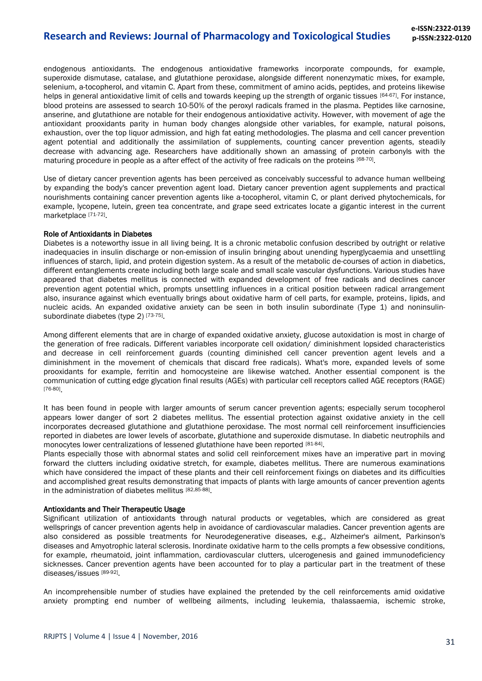# **Research and Reviews: Journal of Pharmacology and Toxicological Studies**

endogenous antioxidants. The endogenous antioxidative frameworks incorporate compounds, for example, superoxide dismutase, catalase, and glutathione peroxidase, alongside different nonenzymatic mixes, for example, selenium, a-tocopherol, and vitamin C. Apart from these, commitment of amino acids, peptides, and proteins likewise helps in general antioxidative limit of cells and towards keeping up the strength of organic tissues [64-67]. For instance, blood proteins are assessed to search 10-50% of the peroxyl radicals framed in the plasma. Peptides like carnosine, anserine, and glutathione are notable for their endogenous antioxidative activity. However, with movement of age the antioxidant prooxidants parity in human body changes alongside other variables, for example, natural poisons, exhaustion, over the top liquor admission, and high fat eating methodologies. The plasma and cell cancer prevention agent potential and additionally the assimilation of supplements, counting cancer prevention agents, steadily decrease with advancing age. Researchers have additionally shown an amassing of protein carbonyls with the maturing procedure in people as a after effect of the activity of free radicals on the proteins [68-70].

Use of dietary cancer prevention agents has been perceived as conceivably successful to advance human wellbeing by expanding the body's cancer prevention agent load. Dietary cancer prevention agent supplements and practical nourishments containing cancer prevention agents like a-tocopherol, vitamin C, or plant derived phytochemicals, for example, lycopene, lutein, green tea concentrate, and grape seed extricates locate a gigantic interest in the current marketplace [71-72].

#### Role of Antioxidants in Diabetes

Diabetes is a noteworthy issue in all living being. It is a chronic metabolic confusion described by outright or relative inadequacies in insulin discharge or non-emission of insulin bringing about unending hyperglycaemia and unsettling influences of starch, lipid, and protein digestion system. As a result of the metabolic de-courses of action in diabetics, different entanglements create including both large scale and small scale vascular dysfunctions. Various studies have appeared that diabetes mellitus is connected with expanded development of free radicals and declines cancer prevention agent potential which, prompts unsettling influences in a critical position between radical arrangement also, insurance against which eventually brings about oxidative harm of cell parts, for example, proteins, lipids, and nucleic acids. An expanded oxidative anxiety can be seen in both insulin subordinate (Type 1) and noninsulinsubordinate diabetes (type 2) [73-75].

Among different elements that are in charge of expanded oxidative anxiety, glucose autoxidation is most in charge of the generation of free radicals. Different variables incorporate cell oxidation/ diminishment lopsided characteristics and decrease in cell reinforcement guards (counting diminished cell cancer prevention agent levels and a diminishment in the movement of chemicals that discard free radicals). What's more, expanded levels of some prooxidants for example, ferritin and homocysteine are likewise watched. Another essential component is the communication of cutting edge glycation final results (AGEs) with particular cell receptors called AGE receptors (RAGE) [76-80] .

It has been found in people with larger amounts of serum cancer prevention agents; especially serum tocopherol appears lower danger of sort 2 diabetes mellitus. The essential protection against oxidative anxiety in the cell incorporates decreased glutathione and glutathione peroxidase. The most normal cell reinforcement insufficiencies reported in diabetes are lower levels of ascorbate, glutathione and superoxide dismutase. In diabetic neutrophils and monocytes lower centralizations of lessened glutathione have been reported [81-84].

Plants especially those with abnormal states and solid cell reinforcement mixes have an imperative part in moving forward the clutters including oxidative stretch, for example, diabetes mellitus. There are numerous examinations which have considered the impact of these plants and their cell reinforcement fixings on diabetes and its difficulties and accomplished great results demonstrating that impacts of plants with large amounts of cancer prevention agents in the administration of diabetes mellitus [82,85-88].

#### Antioxidants and Their Therapeutic Usage

Significant utilization of antioxidants through natural products or vegetables, which are considered as great wellsprings of cancer prevention agents help in avoidance of cardiovascular maladies. Cancer prevention agents are also considered as possible treatments for Neurodegenerative diseases, e.g., Alzheimer's ailment, Parkinson's diseases and Amyotrophic lateral sclerosis. Inordinate oxidative harm to the cells prompts a few obsessive conditions, for example, rheumatoid, joint inflammation, cardiovascular clutters, ulcerogenesis and gained immunodeficiency sicknesses. Cancer prevention agents have been accounted for to play a particular part in the treatment of these diseases/issues [89-92].

An incomprehensible number of studies have explained the pretended by the cell reinforcements amid oxidative anxiety prompting end number of wellbeing ailments, including leukemia, thalassaemia, ischemic stroke,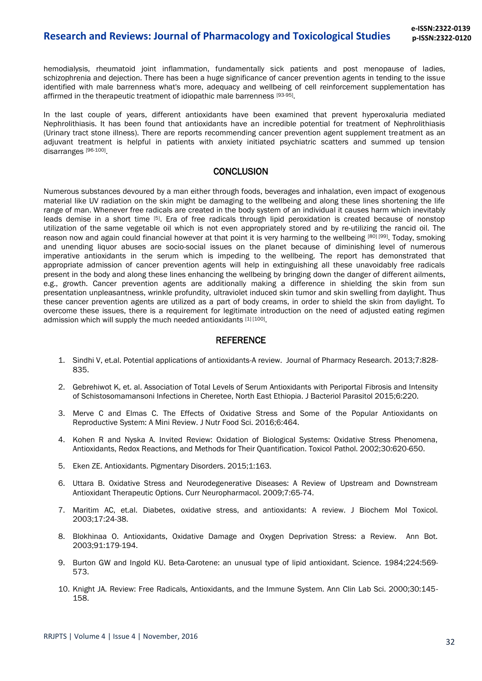hemodialysis, rheumatoid joint inflammation, fundamentally sick patients and post menopause of ladies, schizophrenia and dejection. There has been a huge significance of cancer prevention agents in tending to the issue identified with male barrenness what's more, adequacy and wellbeing of cell reinforcement supplementation has affirmed in the therapeutic treatment of idiopathic male barrenness [93-95].

In the last couple of years, different antioxidants have been examined that prevent hyperoxaluria mediated Nephrolithiasis. It has been found that antioxidants have an incredible potential for treatment of Nephrolithiasis (Urinary tract stone illness). There are reports recommending cancer prevention agent supplement treatment as an adjuvant treatment is helpful in patients with anxiety initiated psychiatric scatters and summed up tension disarranges [96-100].

### **CONCLUSION**

Numerous substances devoured by a man either through foods, beverages and inhalation, even impact of exogenous material like UV radiation on the skin might be damaging to the wellbeing and along these lines shortening the life range of man. Whenever free radicals are created in the body system of an individual it causes harm which inevitably leads demise in a short time [5]. Era of free radicals through lipid peroxidation is created because of nonstop utilization of the same vegetable oil which is not even appropriately stored and by re-utilizing the rancid oil. The reason now and again could financial however at that point it is very harming to the wellbeing [80] [99]. Today, smoking and unending liquor abuses are socio-social issues on the planet because of diminishing level of numerous imperative antioxidants in the serum which is impeding to the wellbeing. The report has demonstrated that appropriate admission of cancer prevention agents will help in extinguishing all these unavoidably free radicals present in the body and along these lines enhancing the wellbeing by bringing down the danger of different ailments, e.g., growth. Cancer prevention agents are additionally making a difference in shielding the skin from sun presentation unpleasantness, wrinkle profundity, ultraviolet induced skin tumor and skin swelling from daylight. Thus these cancer prevention agents are utilized as a part of body creams, in order to shield the skin from daylight. To overcome these issues, there is a requirement for legitimate introduction on the need of adjusted eating regimen admission which will supply the much needed antioxidants [1] [100].

### **REFERENCE**

- 1. Sindhi V, et.al. Potential applications of antioxidants-A review. Journal of Pharmacy Research. 2013;7:828- 835.
- 2. Gebrehiwot K, et. al. Association of Total Levels of Serum Antioxidants with Periportal Fibrosis and Intensity of Schistosomamansoni Infections in Cheretee, North East Ethiopia. J Bacteriol Parasitol 2015;6:220.
- 3. Merve C and Elmas C. The Effects of Oxidative Stress and Some of the Popular Antioxidants on Reproductive System: A Mini Review. J Nutr Food Sci. 2016;6:464.
- 4. Kohen R and Nyska A. Invited Review: Oxidation of Biological Systems: Oxidative Stress Phenomena, Antioxidants, Redox Reactions, and Methods for Their Quantification. Toxicol Pathol. 2002;30:620-650.
- 5. Eken ZE. Antioxidants. Pigmentary Disorders. 2015;1:163.
- 6. Uttara B. Oxidative Stress and Neurodegenerative Diseases: A Review of Upstream and Downstream Antioxidant Therapeutic Options. Curr Neuropharmacol. 2009;7:65-74.
- 7. Maritim AC, et.al. Diabetes, oxidative stress, and antioxidants: A review. J Biochem Mol Toxicol. 2003;17:24-38.
- 8. Blokhinaa O. Antioxidants, Oxidative Damage and Oxygen Deprivation Stress: a Review. Ann Bot. 2003;91:179-194.
- 9. Burton GW and Ingold KU. Beta-Carotene: an unusual type of lipid antioxidant. Science. 1984;224:569- 573.
- 10. Knight JA. Review: Free Radicals, Antioxidants, and the Immune System. Ann Clin Lab Sci. 2000;30:145- 158.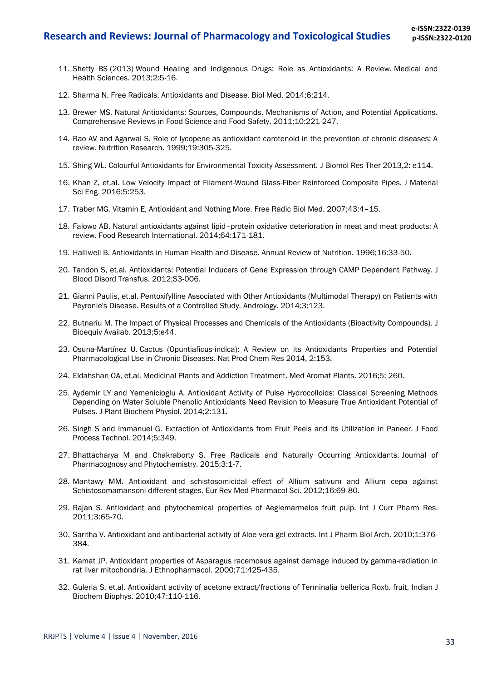- 11. Shetty BS (2013) Wound Healing and Indigenous Drugs: Role as Antioxidants: A Review. Medical and Health Sciences. 2013;2:5-16.
- 12. Sharma N. Free Radicals, Antioxidants and Disease. Biol Med. 2014;6:214.
- 13. Brewer MS. Natural Antioxidants: Sources, Compounds, Mechanisms of Action, and Potential Applications. Comprehensive Reviews in Food Science and Food Safety. 2011;10:221-247.
- 14. Rao AV and Agarwal S. Role of lycopene as antioxidant carotenoid in the prevention of chronic diseases: A review. Nutrition Research. 1999;19:305-325.
- 15. Shing WL. Colourful Antioxidants for Environmental Toxicity Assessment. J Biomol Res Ther 2013,2: e114.
- 16. Khan Z, et.al. Low Velocity Impact of Filament-Wound Glass-Fiber Reinforced Composite Pipes. J Material Sci Eng. 2016;5:253.
- 17. Traber MG. Vitamin E, Antioxidant and Nothing More. Free Radic Biol Med. 2007;43:4–15.
- 18. Falowo AB. Natural antioxidants against lipid–protein oxidative deterioration in meat and meat products: A review. Food Research International. 2014;64:171-181.
- 19. Halliwell B. Antioxidants in Human Health and Disease. Annual Review of Nutrition. 1996;16:33-50.
- 20. Tandon S, et.al. Antioxidants: Potential Inducers of Gene Expression through CAMP Dependent Pathway. J Blood Disord Transfus. 2012;S3-006.
- 21. Gianni Paulis, et.al. Pentoxifylline Associated with Other Antioxidants (Multimodal Therapy) on Patients with Peyronie's Disease. Results of a Controlled Study. Andrology. 2014;3:123.
- 22. Butnariu M. The Impact of Physical Processes and Chemicals of the Antioxidants (Bioactivity Compounds). J Bioequiv Availab. 2013;5:e44.
- 23. Osuna-Martínez U. Cactus (Opuntiaficus-indica): A Review on its Antioxidants Properties and Potential Pharmacological Use in Chronic Diseases. Nat Prod Chem Res 2014, 2:153.
- 24. Eldahshan OA, et.al. Medicinal Plants and Addiction Treatment. Med Aromat Plants. 2016;5: 260.
- 25. Aydemir LY and Yemenicioglu A. Antioxidant Activity of Pulse Hydrocolloids: Classical Screening Methods Depending on Water Soluble Phenolic Antioxidants Need Revision to Measure True Antioxidant Potential of Pulses. J Plant Biochem Physiol. 2014;2:131.
- 26. Singh S and Immanuel G. Extraction of Antioxidants from Fruit Peels and its Utilization in Paneer. J Food Process Technol. 2014;5:349.
- 27. Bhattacharya M and Chakraborty S. Free Radicals and Naturally Occurring Antioxidants. Journal of Pharmacognosy and Phytochemistry. 2015;3:1-7.
- 28. Mantawy MM. Antioxidant and schistosomicidal effect of Allium sativum and Allium cepa against Schistosomamansoni different stages. Eur Rev Med Pharmacol Sci. 2012;16:69-80.
- 29. Rajan S. Antioxidant and phytochemical properties of Aeglemarmelos fruit pulp. Int J Curr Pharm Res. 2011;3:65-70.
- 30. Saritha V. Antioxidant and antibacterial activity of Aloe vera gel extracts. Int J Pharm Biol Arch. 2010;1:376- 384.
- 31. Kamat JP. Antioxidant properties of Asparagus racemosus against damage induced by gamma-radiation in rat liver mitochondria. J Ethnopharmacol. 2000;71:425-435.
- 32. Guleria S, et.al. Antioxidant activity of acetone extract/fractions of Terminalia bellerica Roxb. fruit. Indian J Biochem Biophys. 2010;47:110-116.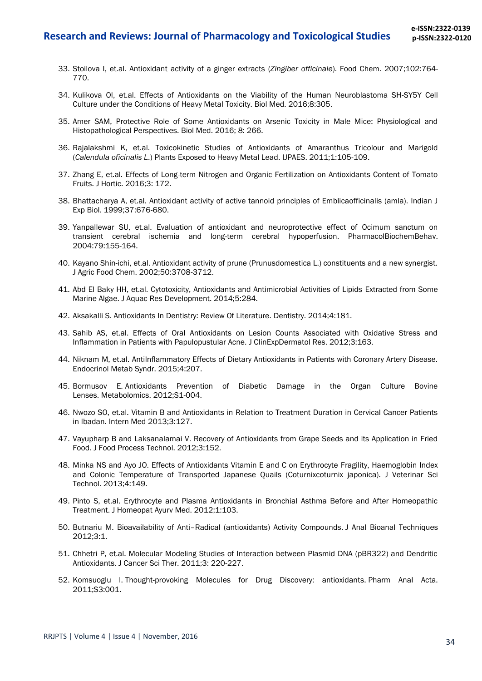- 33. Stoilova I, et.al. Antioxidant activity of a ginger extracts (*Zingiber officinale*). Food Chem. 2007;102:764- 770.
- 34. Kulikova OI, et.al. Effects of Antioxidants on the Viability of the Human Neuroblastoma SH-SY5Y Cell Culture under the Conditions of Heavy Metal Toxicity. Biol Med. 2016;8:305.
- 35. Amer SAM, Protective Role of Some Antioxidants on Arsenic Toxicity in Male Mice: Physiological and Histopathological Perspectives. Biol Med. 2016; 8: 266.
- 36. Rajalakshmi K, et.al. Toxicokinetic Studies of Antioxidants of Amaranthus Tricolour and Marigold (*Calendula oficinalis L*.) Plants Exposed to Heavy Metal Lead. IJPAES. 2011;1:105-109.
- 37. Zhang E, et.al. Effects of Long-term Nitrogen and Organic Fertilization on Antioxidants Content of Tomato Fruits. J Hortic. 2016;3: 172.
- 38. Bhattacharya A, et.al. Antioxidant activity of active tannoid principles of Emblicaofficinalis (amla). Indian J Exp Biol. 1999;37:676-680.
- 39. Yanpallewar SU, et.al. Evaluation of antioxidant and neuroprotective effect of Ocimum sanctum on transient cerebral ischemia and long-term cerebral hypoperfusion. PharmacolBiochemBehav. 2004:79:155-164.
- 40. Kayano Shin-ichi, et.al. Antioxidant activity of prune (Prunusdomestica L.) constituents and a new synergist. J Agric Food Chem. 2002;50:3708-3712.
- 41. Abd El Baky HH, et.al. Cytotoxicity, Antioxidants and Antimicrobial Activities of Lipids Extracted from Some Marine Algae. J Aquac Res Development. 2014;5:284.
- 42. Aksakalli S. Antioxidants In Dentistry: Review Of Literature. Dentistry. 2014;4:181.
- 43. Sahib AS, et.al. Effects of Oral Antioxidants on Lesion Counts Associated with Oxidative Stress and Inflammation in Patients with Papulopustular Acne. J ClinExpDermatol Res. 2012;3:163.
- 44. Niknam M, et.al. AntiInflammatory Effects of Dietary Antioxidants in Patients with Coronary Artery Disease. Endocrinol Metab Syndr. 2015;4:207.
- 45. Bormusov E. Antioxidants Prevention of Diabetic Damage in the Organ Culture Bovine Lenses. Metabolomics. 2012;S1-004.
- 46. Nwozo SO, et.al. Vitamin B and Antioxidants in Relation to Treatment Duration in Cervical Cancer Patients in Ibadan. Intern Med 2013;3:127.
- 47. Vayupharp B and Laksanalamai V. Recovery of Antioxidants from Grape Seeds and its Application in Fried Food. J Food Process Technol. 2012;3:152.
- 48. Minka NS and Ayo JO. Effects of Antioxidants Vitamin E and C on Erythrocyte Fragility, Haemoglobin Index and Colonic Temperature of Transported Japanese Quails (Coturnixcoturnix japonica). J Veterinar Sci Technol. 2013;4:149.
- 49. Pinto S, et.al. Erythrocyte and Plasma Antioxidants in Bronchial Asthma Before and After Homeopathic Treatment. J Homeopat Ayurv Med. 2012;1:103.
- 50. Butnariu M. Bioavailability of Anti–Radical (antioxidants) Activity Compounds. J Anal Bioanal Techniques 2012;3:1.
- 51. Chhetri P, et.al. Molecular Modeling Studies of Interaction between Plasmid DNA (pBR322) and Dendritic Antioxidants. J Cancer Sci Ther. 2011;3: 220-227.
- 52. Komsuoglu I. Thought-provoking Molecules for Drug Discovery: antioxidants. Pharm Anal Acta. 2011;S3:001.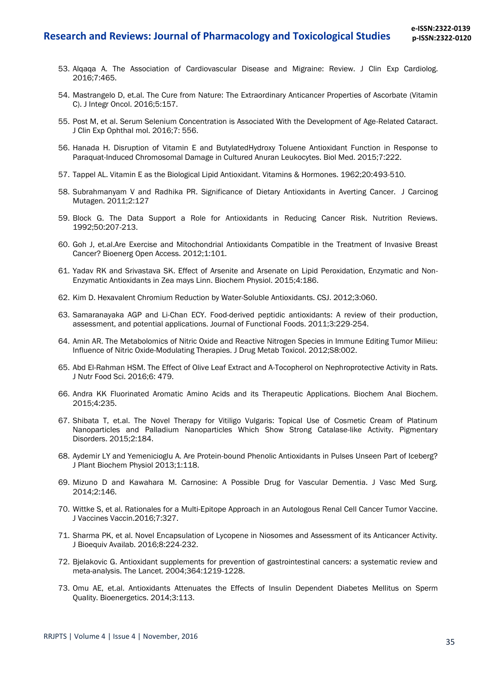### **Research and Reviews: Journal of Pharmacology and Toxicological Studies**

- 53. Alqaqa A. The Association of Cardiovascular Disease and Migraine: Review. J Clin Exp Cardiolog. 2016;7:465.
- 54. Mastrangelo D, et.al. The Cure from Nature: The Extraordinary Anticancer Properties of Ascorbate (Vitamin C). J Integr Oncol. 2016;5:157.
- 55. Post M, et al. Serum Selenium Concentration is Associated With the Development of Age-Related Cataract. J Clin Exp Ophthal mol. 2016;7: 556.
- 56. Hanada H. Disruption of Vitamin E and ButylatedHydroxy Toluene Antioxidant Function in Response to Paraquat-Induced Chromosomal Damage in Cultured Anuran Leukocytes. Biol Med. 2015;7:222.
- 57. Tappel AL. Vitamin E as the Biological Lipid Antioxidant. Vitamins & Hormones. 1962;20:493-510.
- 58. Subrahmanyam V and Radhika PR. Significance of Dietary Antioxidants in Averting Cancer. J Carcinog Mutagen. 2011;2:127
- 59. Block G. The Data Support a Role for Antioxidants in Reducing Cancer Risk. Nutrition Reviews. 1992;50:207-213.
- 60. Goh J, et.al.Are Exercise and Mitochondrial Antioxidants Compatible in the Treatment of Invasive Breast Cancer? Bioenerg Open Access. 2012;1:101.
- 61. Yadav RK and Srivastava SK. Effect of Arsenite and Arsenate on Lipid Peroxidation, Enzymatic and Non-Enzymatic Antioxidants in Zea mays Linn. Biochem Physiol. 2015;4:186.
- 62. Kim D. Hexavalent Chromium Reduction by Water-Soluble Antioxidants. CSJ. 2012;3:060.
- 63. Samaranayaka AGP and Li-Chan ECY. Food-derived peptidic antioxidants: A review of their production, assessment, and potential applications. Journal of Functional Foods. 2011;3:229-254.
- 64. Amin AR. The Metabolomics of Nitric Oxide and Reactive Nitrogen Species in Immune Editing Tumor Milieu: Influence of Nitric Oxide-Modulating Therapies. J Drug Metab Toxicol. 2012;S8:002.
- 65. Abd El-Rahman HSM. The Effect of Olive Leaf Extract and Α-Tocopherol on Nephroprotective Activity in Rats. J Nutr Food Sci. 2016;6: 479.
- 66. Andra KK Fluorinated Aromatic Amino Acids and its Therapeutic Applications. Biochem Anal Biochem. 2015;4:235.
- 67. Shibata T, et.al. The Novel Therapy for Vitiligo Vulgaris: Topical Use of Cosmetic Cream of Platinum Nanoparticles and Palladium Nanoparticles Which Show Strong Catalase-like Activity. Pigmentary Disorders. 2015;2:184.
- 68. Aydemir LY and Yemenicioglu A. Are Protein-bound Phenolic Antioxidants in Pulses Unseen Part of Iceberg? J Plant Biochem Physiol 2013;1:118.
- 69. Mizuno D and Kawahara M. Carnosine: A Possible Drug for Vascular Dementia. J Vasc Med Surg. 2014;2:146.
- 70. Wittke S, et al. Rationales for a Multi-Epitope Approach in an Autologous Renal Cell Cancer Tumor Vaccine. J Vaccines Vaccin.2016;7:327.
- 71. Sharma PK, et al. Novel Encapsulation of Lycopene in Niosomes and Assessment of its Anticancer Activity. J Bioequiv Availab. 2016;8:224-232.
- 72. Bjelakovic G. Antioxidant supplements for prevention of gastrointestinal cancers: a systematic review and meta-analysis. The Lancet. 2004;364:1219-1228.
- 73. Omu AE, et.al. Antioxidants Attenuates the Effects of Insulin Dependent Diabetes Mellitus on Sperm Quality. Bioenergetics. 2014;3:113.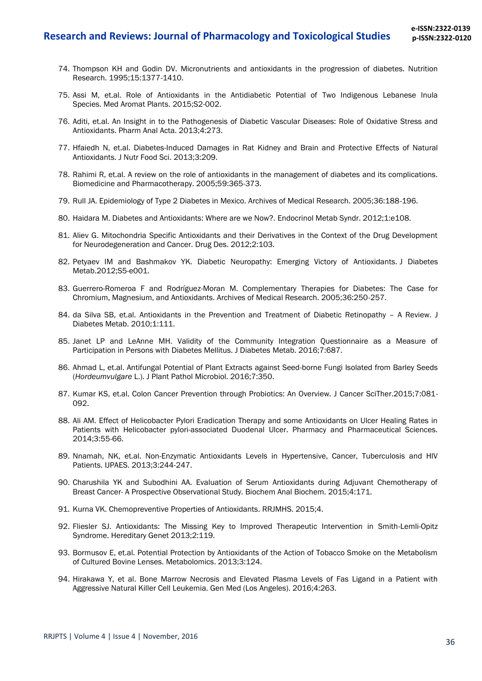- 74. Thompson KH and Godin DV. Micronutrients and antioxidants in the progression of diabetes. Nutrition Research. 1995;15:1377-1410.
- 75. Assi M, et.al. Role of Antioxidants in the Antidiabetic Potential of Two Indigenous Lebanese Inula Species. Med Aromat Plants. 2015;S2-002.
- 76. Aditi, et.al. An Insight in to the Pathogenesis of Diabetic Vascular Diseases: Role of Oxidative Stress and Antioxidants. Pharm Anal Acta. 2013;4:273.
- 77. Hfaiedh N, et.al. Diabetes-Induced Damages in Rat Kidney and Brain and Protective Effects of Natural Antioxidants. J Nutr Food Sci. 2013;3:209.
- 78. Rahimi R, et.al. A review on the role of antioxidants in the management of diabetes and its complications. Biomedicine and Pharmacotherapy. 2005;59:365-373.
- 79. Rull JA. Epidemiology of Type 2 Diabetes in Mexico. Archives of Medical Research. 2005;36:188-196.
- 80. Haidara M. Diabetes and Antioxidants: Where are we Now?. Endocrinol Metab Syndr. 2012;1:e108.
- 81. Aliev G. Mitochondria Specific Antioxidants and their Derivatives in the Context of the Drug Development for Neurodegeneration and Cancer. Drug Des. 2012;2:103.
- 82. Petyaev IM and Bashmakov YK. Diabetic Neuropathy: Emerging Victory of Antioxidants. J Diabetes Metab.2012;S5-e001.
- 83. Guerrero-Romeroa F and Rodríguez-Moran M. Complementary Therapies for Diabetes: The Case for Chromium, Magnesium, and Antioxidants. Archives of Medical Research. 2005;36:250-257.
- 84. da Silva SB, et.al. Antioxidants in the Prevention and Treatment of Diabetic Retinopathy A Review. J Diabetes Metab. 2010;1:111.
- 85. Janet LP and LeAnne MH. Validity of the Community Integration Questionnaire as a Measure of Participation in Persons with Diabetes Mellitus. J Diabetes Metab. 2016;7:687.
- 86. Ahmad L, et.al. Antifungal Potential of Plant Extracts against Seed-borne Fungi Isolated from Barley Seeds (*Hordeumvulgare* L.). J Plant Pathol Microbiol. 2016;7:350.
- 87. Kumar KS, et.al. Colon Cancer Prevention through Probiotics: An Overview. J Cancer SciTher.2015;7:081- 092.
- 88. Ali AM. Effect of Helicobacter Pylori Eradication Therapy and some Antioxidants on Ulcer Healing Rates in Patients with Helicobacter pylori-associated Duodenal Ulcer. Pharmacy and Pharmaceutical Sciences. 2014;3:55-66.
- 89. Nnamah, NK, et.al. Non-Enzymatic Antioxidants Levels in Hypertensive, Cancer, Tuberculosis and HIV Patients. IJPAES. 2013;3:244-247.
- 90. Charushila YK and Subodhini AA. Evaluation of Serum Antioxidants during Adjuvant Chemotherapy of Breast Cancer- A Prospective Observational Study. Biochem Anal Biochem. 2015;4:171.
- 91. Kurna VK. Chemopreventive Properties of Antioxidants. RRJMHS. 2015;4.
- 92. Fliesler SJ. Antioxidants: The Missing Key to Improved Therapeutic Intervention in Smith-Lemli-Opitz Syndrome. Hereditary Genet 2013;2:119.
- 93. Bormusov E, et.al. Potential Protection by Antioxidants of the Action of Tobacco Smoke on the Metabolism of Cultured Bovine Lenses. Metabolomics. 2013;3:124.
- 94. Hirakawa Y, et al. Bone Marrow Necrosis and Elevated Plasma Levels of Fas Ligand in a Patient with Aggressive Natural Killer Cell Leukemia. Gen Med (Los Angeles). 2016;4:263.